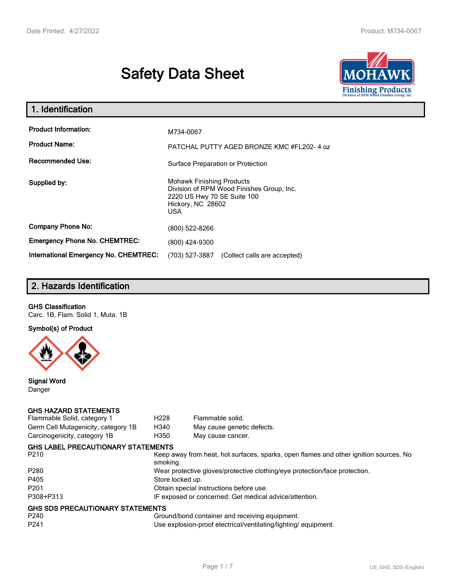# **Safety Data Sheet**



| 1. Identification                                   |                                                                                                                                                 |
|-----------------------------------------------------|-------------------------------------------------------------------------------------------------------------------------------------------------|
| <b>Product Information:</b><br><b>Product Name:</b> | M734-0067<br>PATCHAL PUTTY AGED BRONZE KMC #FL202-4 oz                                                                                          |
| <b>Recommended Use:</b>                             | Surface Preparation or Protection                                                                                                               |
| Supplied by:                                        | <b>Mohawk Finishing Products</b><br>Division of RPM Wood Finishes Group, Inc.<br>2220 US Hwy 70 SE Suite 100<br>Hickory, NC 28602<br><b>USA</b> |
| <b>Company Phone No:</b>                            | (800) 522-8266                                                                                                                                  |
| <b>Emergency Phone No. CHEMTREC:</b>                | (800) 424-9300                                                                                                                                  |
| <b>International Emergency No. CHEMTREC:</b>        | (703) 527-3887<br>(Collect calls are accepted)                                                                                                  |

# **2. Hazards Identification**

#### **GHS Classification**

Carc. 1B, Flam. Solid 1, Muta. 1B

**Symbol(s) of Product**



**Signal Word** Danger

#### **GHS HAZARD STATEMENTS**

| Germ Cell Mutagenicity, category 1B<br>H340<br>May cause genetic defects.<br>Carcinogenicity, category 1B<br>H350<br>May cause cancer.<br><b>GHS LABEL PRECAUTIONARY STATEMENTS</b><br>Keep away from heat, hot surfaces, sparks, open flames and other ignition sources. No<br>P <sub>210</sub><br>smoking.<br>P <sub>280</sub><br>Wear protective gloves/protective clothing/eye protection/face protection.<br>P405<br>Store locked up.<br>Obtain special instructions before use.<br>P308+P313<br>IF exposed or concerned: Get medical advice/attention.<br><b>GHS SDS PRECAUTIONARY STATEMENTS</b><br>Ground/bond container and receiving equipment.<br>P240<br>P <sub>241</sub><br>Use explosion-proof electrical/ventilating/lighting/equipment. | Flammable Solid, category 1 | H <sub>228</sub> | Flammable solid. |
|---------------------------------------------------------------------------------------------------------------------------------------------------------------------------------------------------------------------------------------------------------------------------------------------------------------------------------------------------------------------------------------------------------------------------------------------------------------------------------------------------------------------------------------------------------------------------------------------------------------------------------------------------------------------------------------------------------------------------------------------------------|-----------------------------|------------------|------------------|
|                                                                                                                                                                                                                                                                                                                                                                                                                                                                                                                                                                                                                                                                                                                                                         |                             |                  |                  |
|                                                                                                                                                                                                                                                                                                                                                                                                                                                                                                                                                                                                                                                                                                                                                         |                             |                  |                  |
|                                                                                                                                                                                                                                                                                                                                                                                                                                                                                                                                                                                                                                                                                                                                                         |                             |                  |                  |
|                                                                                                                                                                                                                                                                                                                                                                                                                                                                                                                                                                                                                                                                                                                                                         |                             |                  |                  |
|                                                                                                                                                                                                                                                                                                                                                                                                                                                                                                                                                                                                                                                                                                                                                         |                             |                  |                  |
|                                                                                                                                                                                                                                                                                                                                                                                                                                                                                                                                                                                                                                                                                                                                                         |                             |                  |                  |
|                                                                                                                                                                                                                                                                                                                                                                                                                                                                                                                                                                                                                                                                                                                                                         | P <sub>201</sub>            |                  |                  |
|                                                                                                                                                                                                                                                                                                                                                                                                                                                                                                                                                                                                                                                                                                                                                         |                             |                  |                  |
|                                                                                                                                                                                                                                                                                                                                                                                                                                                                                                                                                                                                                                                                                                                                                         |                             |                  |                  |
|                                                                                                                                                                                                                                                                                                                                                                                                                                                                                                                                                                                                                                                                                                                                                         |                             |                  |                  |
|                                                                                                                                                                                                                                                                                                                                                                                                                                                                                                                                                                                                                                                                                                                                                         |                             |                  |                  |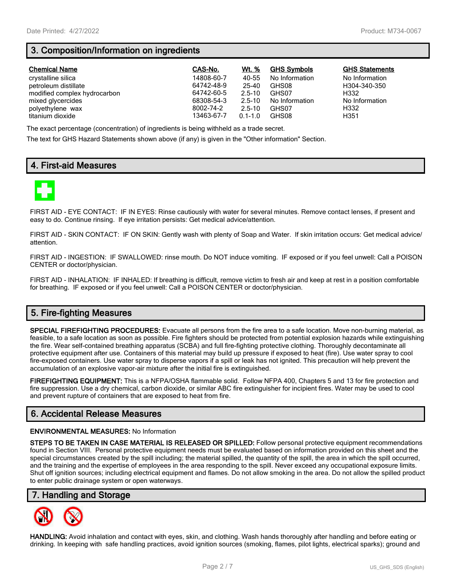# **3. Composition/Information on ingredients**

| <b>Chemical Name</b>         | CAS-No.    | Wt. %       | <b>GHS Symbols</b> | <b>GHS Statements</b> |
|------------------------------|------------|-------------|--------------------|-----------------------|
| crystalline silica           | 14808-60-7 | 40-55       | No Information     | No Information        |
| petroleum distillate         | 64742-48-9 | 25-40       | GHS08              | H304-340-350          |
| modified complex hydrocarbon | 64742-60-5 | $2.5 - 10$  | GHS07              | H332                  |
| mixed glycercides            | 68308-54-3 | $2.5 - 10$  | No Information     | No Information        |
| polyethylene wax             | 8002-74-2  | $2.5 - 10$  | GHS07              | H332                  |
| titanium dioxide             | 13463-67-7 | $0.1 - 1.0$ | GHS08              | H351                  |

The exact percentage (concentration) of ingredients is being withheld as a trade secret.

The text for GHS Hazard Statements shown above (if any) is given in the "Other information" Section.

# **4. First-aid Measures**



FIRST AID - EYE CONTACT: IF IN EYES: Rinse cautiously with water for several minutes. Remove contact lenses, if present and easy to do. Continue rinsing. If eye irritation persists: Get medical advice/attention.

FIRST AID - SKIN CONTACT: IF ON SKIN: Gently wash with plenty of Soap and Water. If skin irritation occurs: Get medical advice/ attention.

FIRST AID - INGESTION: IF SWALLOWED: rinse mouth. Do NOT induce vomiting. IF exposed or if you feel unwell: Call a POISON CENTER or doctor/physician.

FIRST AID - INHALATION: IF INHALED: If breathing is difficult, remove victim to fresh air and keep at rest in a position comfortable for breathing. IF exposed or if you feel unwell: Call a POISON CENTER or doctor/physician.

# **5. Fire-fighting Measures**

**SPECIAL FIREFIGHTING PROCEDURES:** Evacuate all persons from the fire area to a safe location. Move non-burning material, as feasible, to a safe location as soon as possible. Fire fighters should be protected from potential explosion hazards while extinguishing the fire. Wear self-contained breathing apparatus (SCBA) and full fire-fighting protective clothing. Thoroughly decontaminate all protective equipment after use. Containers of this material may build up pressure if exposed to heat (fire). Use water spray to cool fire-exposed containers. Use water spray to disperse vapors if a spill or leak has not ignited. This precaution will help prevent the accumulation of an explosive vapor-air mixture after the initial fire is extinguished.

**FIREFIGHTING EQUIPMENT:** This is a NFPA/OSHA flammable solid. Follow NFPA 400, Chapters 5 and 13 for fire protection and fire suppression. Use a dry chemical, carbon dioxide, or similar ABC fire extinguisher for incipient fires. Water may be used to cool and prevent rupture of containers that are exposed to heat from fire.

# **6. Accidental Release Measures**

#### **ENVIRONMENTAL MEASURES:** No Information

**STEPS TO BE TAKEN IN CASE MATERIAL IS RELEASED OR SPILLED:** Follow personal protective equipment recommendations found in Section VIII. Personal protective equipment needs must be evaluated based on information provided on this sheet and the special circumstances created by the spill including; the material spilled, the quantity of the spill, the area in which the spill occurred, and the training and the expertise of employees in the area responding to the spill. Never exceed any occupational exposure limits. Shut off ignition sources; including electrical equipment and flames. Do not allow smoking in the area. Do not allow the spilled product to enter public drainage system or open waterways.

## **7. Handling and Storage**



**HANDLING:** Avoid inhalation and contact with eyes, skin, and clothing. Wash hands thoroughly after handling and before eating or drinking. In keeping with safe handling practices, avoid ignition sources (smoking, flames, pilot lights, electrical sparks); ground and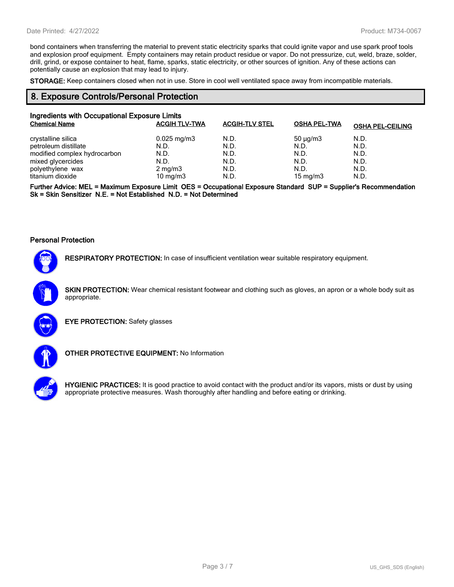bond containers when transferring the material to prevent static electricity sparks that could ignite vapor and use spark proof tools and explosion proof equipment. Empty containers may retain product residue or vapor. Do not pressurize, cut, weld, braze, solder, drill, grind, or expose container to heat, flame, sparks, static electricity, or other sources of ignition. Any of these actions can potentially cause an explosion that may lead to injury.

**STORAGE:** Keep containers closed when not in use. Store in cool well ventilated space away from incompatible materials.

#### **8. Exposure Controls/Personal Protection**

| Ingredients with Occupational Exposure Limits |                         |                       |                     |                         |  |
|-----------------------------------------------|-------------------------|-----------------------|---------------------|-------------------------|--|
| <b>Chemical Name</b>                          | <b>ACGIH TLV-TWA</b>    | <b>ACGIH-TLV STEL</b> | <b>OSHA PEL-TWA</b> | <b>OSHA PEL-CEILING</b> |  |
| crystalline silica                            | $0.025 \,\mathrm{mg/m}$ | N.D.                  | $50 \mu q/m3$       | N.D.                    |  |
| petroleum distillate                          | N.D.                    | N.D.                  | N.D.                | N.D.                    |  |
| modified complex hydrocarbon                  | N.D.                    | N.D.                  | N.D.                | N.D.                    |  |
| mixed glycercides                             | N.D.                    | N.D.                  | N.D.                | N.D.                    |  |
| polyethylene wax                              | $2 \text{ mg/m}$ 3      | N.D.                  | N.D.                | N.D.                    |  |
| titanium dioxide                              | 10 mg/m $3$             | N.D.                  | 15 mg/m $3$         | N.D.                    |  |

**Further Advice: MEL = Maximum Exposure Limit OES = Occupational Exposure Standard SUP = Supplier's Recommendation Sk = Skin Sensitizer N.E. = Not Established N.D. = Not Determined**

#### **Personal Protection**



**RESPIRATORY PROTECTION:** In case of insufficient ventilation wear suitable respiratory equipment.

**SKIN PROTECTION:** Wear chemical resistant footwear and clothing such as gloves, an apron or a whole body suit as appropriate.



**EYE PROTECTION:** Safety glasses



**OTHER PROTECTIVE EQUIPMENT:** No Information



**HYGIENIC PRACTICES:** It is good practice to avoid contact with the product and/or its vapors, mists or dust by using appropriate protective measures. Wash thoroughly after handling and before eating or drinking.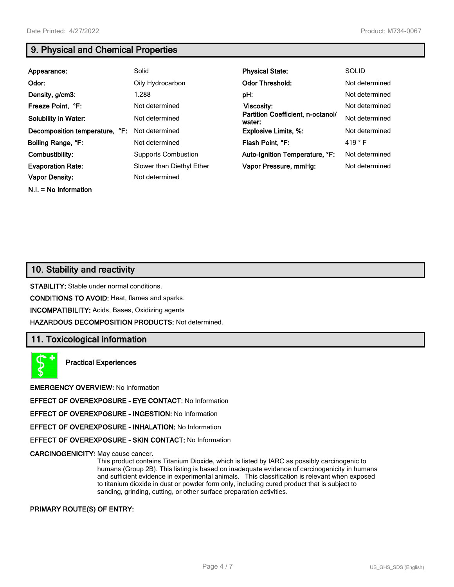**N.I. = No Information**

# **9. Physical and Chemical Properties**

| Appearance:                    | Solid                      | <b>Physical State:</b>                      | <b>SOLID</b>    |
|--------------------------------|----------------------------|---------------------------------------------|-----------------|
| Odor:                          | Oily Hydrocarbon           | <b>Odor Threshold:</b>                      | Not determined  |
| Density, g/cm3:                | 1.288                      | pH:                                         | Not determined  |
| Freeze Point, °F:              | Not determined             | Viscosity:                                  | Not determined  |
| <b>Solubility in Water:</b>    | Not determined             | Partition Coefficient, n-octanol/<br>water: | Not determined  |
| Decomposition temperature, °F: | Not determined             | <b>Explosive Limits, %:</b>                 | Not determined  |
| Boiling Range, °F:             | Not determined             | Flash Point, °F:                            | 419 $\degree$ F |
| Combustibility:                | <b>Supports Combustion</b> | Auto-Ignition Temperature, °F:              | Not determined  |
| <b>Evaporation Rate:</b>       | Slower than Diethyl Ether  | Vapor Pressure, mmHq:                       | Not determined  |
| <b>Vapor Density:</b>          | Not determined             |                                             |                 |

# **10. Stability and reactivity**

**STABILITY:** Stable under normal conditions.

**CONDITIONS TO AVOID:** Heat, flames and sparks.

**INCOMPATIBILITY:** Acids, Bases, Oxidizing agents

**HAZARDOUS DECOMPOSITION PRODUCTS:** Not determined.

## **11. Toxicological information**

**Practical Experiences**

**EMERGENCY OVERVIEW:** No Information

**EFFECT OF OVEREXPOSURE - EYE CONTACT:** No Information

**EFFECT OF OVEREXPOSURE - INGESTION:** No Information

**EFFECT OF OVEREXPOSURE - INHALATION:** No Information

**EFFECT OF OVEREXPOSURE - SKIN CONTACT:** No Information

**CARCINOGENICITY:** May cause cancer.

This product contains Titanium Dioxide, which is listed by IARC as possibly carcinogenic to humans (Group 2B). This listing is based on inadequate evidence of carcinogenicity in humans and sufficient evidence in experimental animals. This classification is relevant when exposed to titanium dioxide in dust or powder form only, including cured product that is subject to sanding, grinding, cutting, or other surface preparation activities.

**PRIMARY ROUTE(S) OF ENTRY:**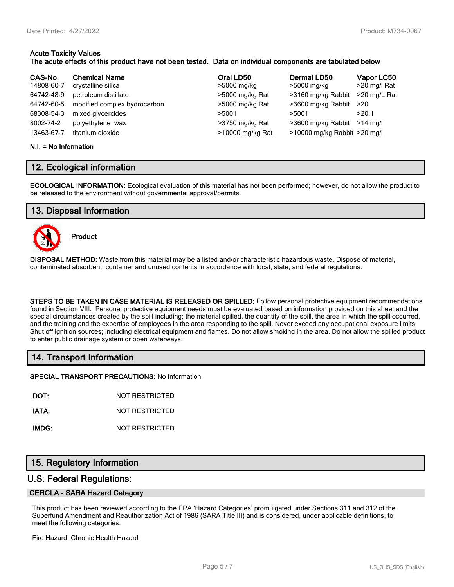# **Acute Toxicity Values**

#### **The acute effects of this product have not been tested. Data on individual components are tabulated below**

| CAS-No.    | <b>Chemical Name</b>         | Oral LD50        | Dermal LD50                  | Vapor LC50   |
|------------|------------------------------|------------------|------------------------------|--------------|
| 14808-60-7 | crystalline silica           | >5000 mg/kg      | >5000 mg/kg                  | >20 mg/l Rat |
| 64742-48-9 | petroleum distillate         | >5000 mg/kg Rat  | >3160 mg/kg Rabbit           | >20 mg/L Rat |
| 64742-60-5 | modified complex hydrocarbon | >5000 mg/kg Rat  | >3600 mg/kg Rabbit           | ->20         |
| 68308-54-3 | mixed glycercides            | >5001            | >5001                        | >20.1        |
| 8002-74-2  | polyethylene wax             | >3750 mg/kg Rat  | >3600 mg/kg Rabbit >14 mg/l  |              |
| 13463-67-7 | titanium dioxide             | >10000 mg/kg Rat | >10000 mg/kg Rabbit >20 mg/l |              |

#### **N.I. = No Information**

# **12. Ecological information**

**ECOLOGICAL INFORMATION:** Ecological evaluation of this material has not been performed; however, do not allow the product to be released to the environment without governmental approval/permits.

# **13. Disposal Information**



**Product**

**DISPOSAL METHOD:** Waste from this material may be a listed and/or characteristic hazardous waste. Dispose of material, contaminated absorbent, container and unused contents in accordance with local, state, and federal regulations.

**STEPS TO BE TAKEN IN CASE MATERIAL IS RELEASED OR SPILLED:** Follow personal protective equipment recommendations found in Section VIII. Personal protective equipment needs must be evaluated based on information provided on this sheet and the special circumstances created by the spill including; the material spilled, the quantity of the spill, the area in which the spill occurred, and the training and the expertise of employees in the area responding to the spill. Never exceed any occupational exposure limits. Shut off ignition sources; including electrical equipment and flames. Do not allow smoking in the area. Do not allow the spilled product to enter public drainage system or open waterways.

# **14. Transport Information**

**SPECIAL TRANSPORT PRECAUTIONS:** No Information

**DOT:** NOT RESTRICTED

**IATA:** NOT RESTRICTED

**IMDG:** NOT RESTRICTED

# **15. Regulatory Information**

## **U.S. Federal Regulations:**

#### **CERCLA - SARA Hazard Category**

This product has been reviewed according to the EPA 'Hazard Categories' promulgated under Sections 311 and 312 of the Superfund Amendment and Reauthorization Act of 1986 (SARA Title III) and is considered, under applicable definitions, to meet the following categories:

Fire Hazard, Chronic Health Hazard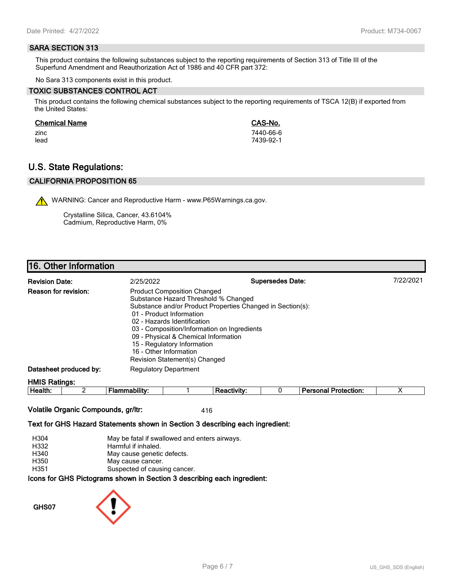#### **SARA SECTION 313**

This product contains the following substances subject to the reporting requirements of Section 313 of Title III of the Superfund Amendment and Reauthorization Act of 1986 and 40 CFR part 372:

No Sara 313 components exist in this product.

#### **TOXIC SUBSTANCES CONTROL ACT**

This product contains the following chemical substances subject to the reporting requirements of TSCA 12(B) if exported from the United States:

#### **Chemical Name CAS-No.**

zinc 7440-66-6 lead 7439-92-1

# **U.S. State Regulations:**

#### **CALIFORNIA PROPOSITION 65**

WARNING: Cancer and Reproductive Harm - www.P65Warnings.ca.gov.

Crystalline Silica, Cancer, 43.6104% Cadmium, Reproductive Harm, 0%

# **16. Other Information**

| <b>Revision Date:</b>       | 2/25/2022                                                                                                                                                                                                                                                                                                              | <b>Supersedes Date:</b>                                    | 7/22/2021 |
|-----------------------------|------------------------------------------------------------------------------------------------------------------------------------------------------------------------------------------------------------------------------------------------------------------------------------------------------------------------|------------------------------------------------------------|-----------|
| <b>Reason for revision:</b> | <b>Product Composition Changed</b><br>Substance Hazard Threshold % Changed<br>01 - Product Information<br>02 - Hazards Identification<br>03 - Composition/Information on Ingredients<br>09 - Physical & Chemical Information<br>15 - Regulatory Information<br>16 - Other Information<br>Revision Statement(s) Changed | Substance and/or Product Properties Changed in Section(s): |           |
| Datasheet produced by:      | <b>Regulatory Department</b>                                                                                                                                                                                                                                                                                           |                                                            |           |
| <b>HMIS Ratings:</b>        |                                                                                                                                                                                                                                                                                                                        |                                                            |           |

| . .<br>-<br>ле<br><br><br> |  |  | - --<br>$ -$<br>.<br>лил |  |
|----------------------------|--|--|--------------------------|--|
|                            |  |  |                          |  |

#### **Volatile Organic Compounds, gr/ltr:** 416

#### **Text for GHS Hazard Statements shown in Section 3 describing each ingredient:**

| H304 | May be fatal if swallowed and enters airways.                   |
|------|-----------------------------------------------------------------|
| H332 | Harmful if inhaled.                                             |
| H340 | May cause genetic defects.                                      |
| H350 | May cause cancer.                                               |
| H351 | Suspected of causing cancer.                                    |
|      | cons for CHS Dictograms shown in Section 3 describing each ingr |

**Icons for GHS Pictograms shown in Section 3 describing each ingredient:**

**GHS07**